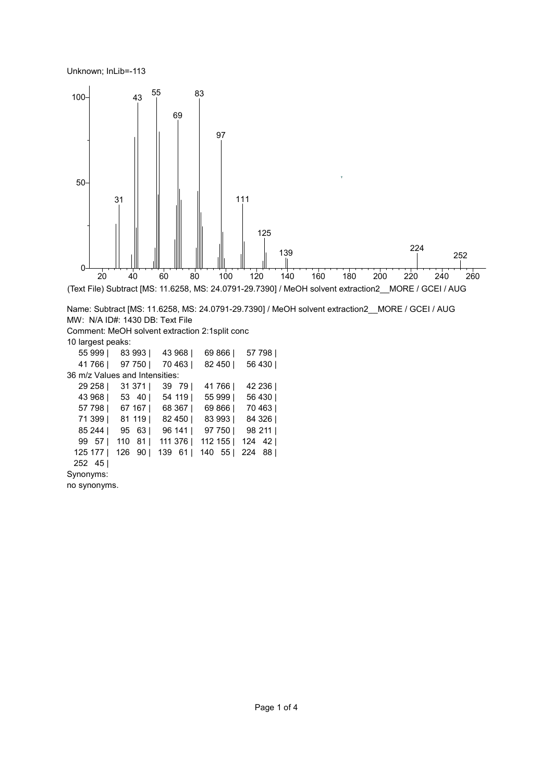Unknown; InLib=-113



| . o .a. goot pouno:            |                        |         |         |            |
|--------------------------------|------------------------|---------|---------|------------|
| 55 999                         | 83 993                 | 43 968  | 69 866  | 57 798     |
| 41766                          | 97 750                 | 70 463  | 82 450  | 56 430     |
| 36 m/z Values and Intensities: |                        |         |         |            |
| 29 258                         | 31 371                 | 39 79   | 41 766  | 42 236     |
| 43 968                         | 53 40                  | 54 119  | 55 999  | 56 430     |
| 57 798                         | 67 167                 | 68 367  | 69 866  | 70 463     |
| 71 399                         | 81 119                 | 82 450  | 83 993  | 84 326     |
| 85 244                         | 95 63                  | 96 141  | 97 750  | 98 211     |
| 99 57                          | $110$ 81               | 111 376 | 112 155 | 124 42     |
| 125 177                        | 126<br>90 <sub>1</sub> | 139 61  | 140 55  | 224<br>881 |
| $252 \quad 45$                 |                        |         |         |            |
| Synonyms:                      |                        |         |         |            |

no synonyms.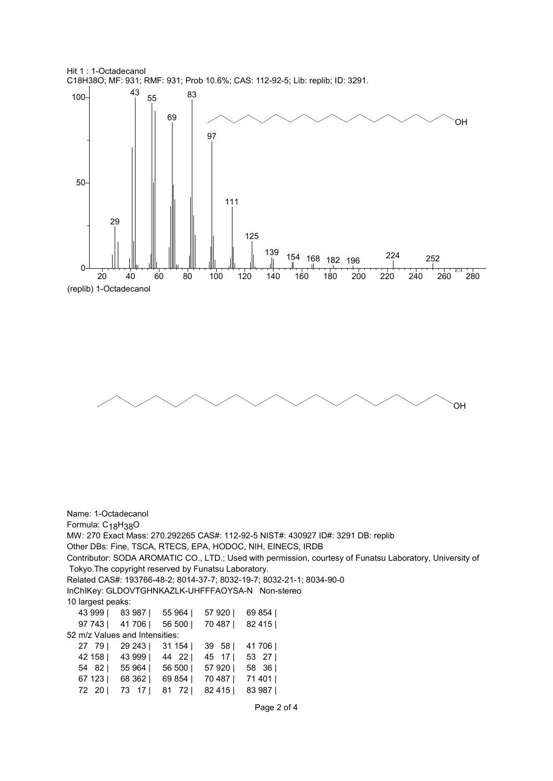Hit 1 : 1-Octadecanol C18H38O; MF: 931; RMF: 931; Prob 10.6%; CAS: 112-92-5; Lib: replib; ID: 3291.





Name: 1-Octadecanol Formula: C18H38O MW: 270 Exact Mass: 270.292265 CAS#: 112-92-5 NIST#: 430927 ID#: 3291 DB: replib Other DBs: Fine, TSCA, RTECS, EPA, HODOC, NIH, EINECS, IRDB Contributor: SODA AROMATIC CO., LTD.; Used with permission, courtesy of Funatsu Laboratory, University of Tokyo.The copyright reserved by Funatsu Laboratory. Related CAS#: 193766-48-2; 8014-37-7; 8032-19-7; 8032-21-1; 8034-90-0 InChIKey: GLDOVTGHNKAZLK-UHFFFAOYSA-N Non-stereo 10 largest peaks: 43 999 | 83 987 | 55 964 | 57 920 | 69 854 | 97 743 | 41 706 | 56 500 | 70 487 | 82 415 | 52 m/z Values and Intensities: 27 79 | 29 243 | 31 154 | 39 58 | 41 706 | 42 158 | 43 999 | 44 22 | 45 17 | 53 27 | 54 82 | 55 964 | 56 500 | 57 920 | 58 36 | 67 123 | 68 362 | 69 854 | 70 487 | 71 401 |

72 20 | 73 17 | 81 72 | 82 415 | 83 987 |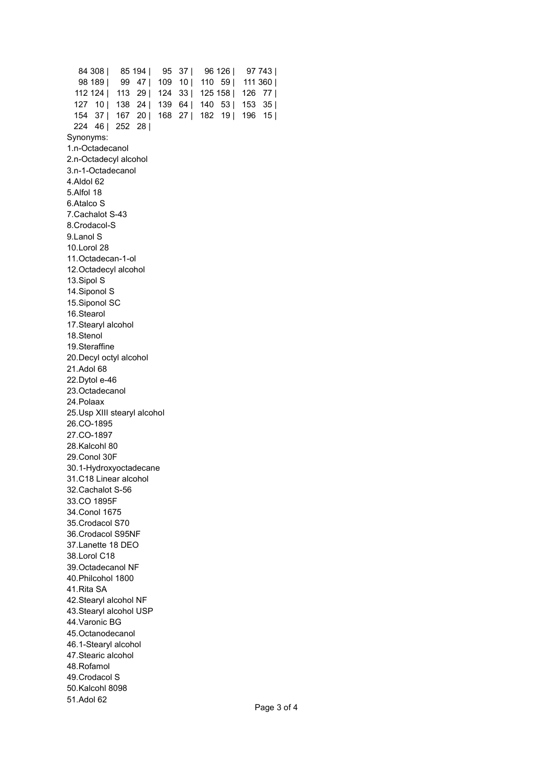84 308 | 85 194 | 95 37 | 96 126 | 97 743 | 98 189 | 99 47 | 109 10 | 110 59 | 111 360 | 112 124 | 113 29 | 124 33 | 125 158 | 126 77 | 127 10 | 138 24 | 139 64 | 140 53 | 153 35 | 154 37 | 167 20 | 168 27 | 182 19 | 196 15 | 224 46 | 252 28 | Synonyms: 1.n-Octadecanol 2.n-Octadecyl alcohol 3.n-1-Octadecanol 4.Aldol 62 5.Alfol 18 6.Atalco S 7.Cachalot S-43 8.Crodacol-S 9.Lanol S 10.Lorol 28 11.Octadecan-1-ol 12.Octadecyl alcohol 13.Sipol S 14.Siponol S 15.Siponol SC 16.Stearol 17.Stearyl alcohol 18.Stenol 19.Steraffine 20.Decyl octyl alcohol 21.Adol 68 22.Dytol e-46 23.Octadecanol 24.Polaax 25.Usp XIII stearyl alcohol 26.CO-1895 27.CO-1897 28.Kalcohl 80 29.Conol 30F 30.1-Hydroxyoctadecane 31.C18 Linear alcohol 32.Cachalot S-56 33.CO 1895F 34.Conol 1675 35.Crodacol S70 36.Crodacol S95NF 37.Lanette 18 DEO 38.Lorol C18 39.Octadecanol NF 40.Philcohol 1800 41.Rita SA 42.Stearyl alcohol NF 43.Stearyl alcohol USP 44.Varonic BG 45.Octanodecanol 46.1-Stearyl alcohol 47.Stearic alcohol 48.Rofamol 49.Crodacol S 50.Kalcohl 8098 51.Adol 62